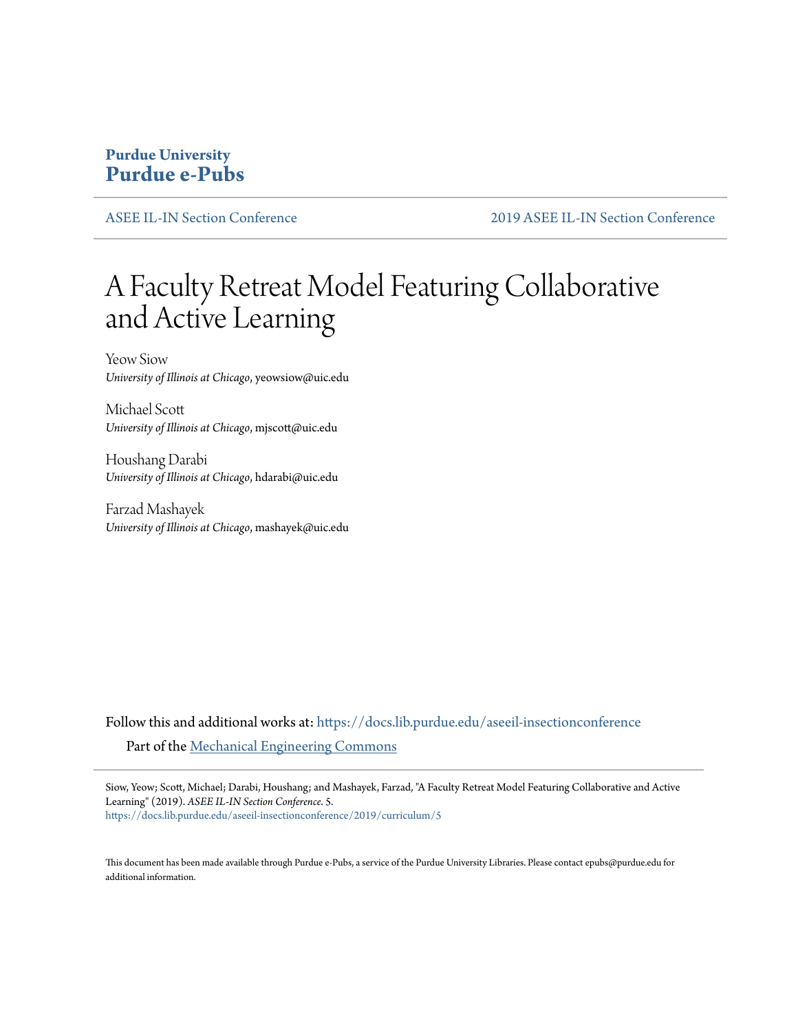### **Purdue University [Purdue e-Pubs](https://docs.lib.purdue.edu?utm_source=docs.lib.purdue.edu%2Faseeil-insectionconference%2F2019%2Fcurriculum%2F5&utm_medium=PDF&utm_campaign=PDFCoverPages)**

[ASEE IL-IN Section Conference](https://docs.lib.purdue.edu/aseeil-insectionconference?utm_source=docs.lib.purdue.edu%2Faseeil-insectionconference%2F2019%2Fcurriculum%2F5&utm_medium=PDF&utm_campaign=PDFCoverPages) [2019 ASEE IL-IN Section Conference](https://docs.lib.purdue.edu/aseeil-insectionconference/2019?utm_source=docs.lib.purdue.edu%2Faseeil-insectionconference%2F2019%2Fcurriculum%2F5&utm_medium=PDF&utm_campaign=PDFCoverPages)

# A Faculty Retreat Model Featuring Collaborative and Active Learning

Yeow Siow *University of Illinois at Chicago*, yeowsiow@uic.edu

Michael Scott *University of Illinois at Chicago*, mjscott@uic.edu

Houshang Darabi *University of Illinois at Chicago*, hdarabi@uic.edu

Farzad Mashayek *University of Illinois at Chicago*, mashayek@uic.edu

Follow this and additional works at: [https://docs.lib.purdue.edu/aseeil-insectionconference](https://docs.lib.purdue.edu/aseeil-insectionconference?utm_source=docs.lib.purdue.edu%2Faseeil-insectionconference%2F2019%2Fcurriculum%2F5&utm_medium=PDF&utm_campaign=PDFCoverPages) Part of the [Mechanical Engineering Commons](http://network.bepress.com/hgg/discipline/293?utm_source=docs.lib.purdue.edu%2Faseeil-insectionconference%2F2019%2Fcurriculum%2F5&utm_medium=PDF&utm_campaign=PDFCoverPages)

Siow, Yeow; Scott, Michael; Darabi, Houshang; and Mashayek, Farzad, "A Faculty Retreat Model Featuring Collaborative and Active Learning" (2019). *ASEE IL-IN Section Conference*. 5. [https://docs.lib.purdue.edu/aseeil-insectionconference/2019/curriculum/5](https://docs.lib.purdue.edu/aseeil-insectionconference/2019/curriculum/5?utm_source=docs.lib.purdue.edu%2Faseeil-insectionconference%2F2019%2Fcurriculum%2F5&utm_medium=PDF&utm_campaign=PDFCoverPages)

This document has been made available through Purdue e-Pubs, a service of the Purdue University Libraries. Please contact epubs@purdue.edu for additional information.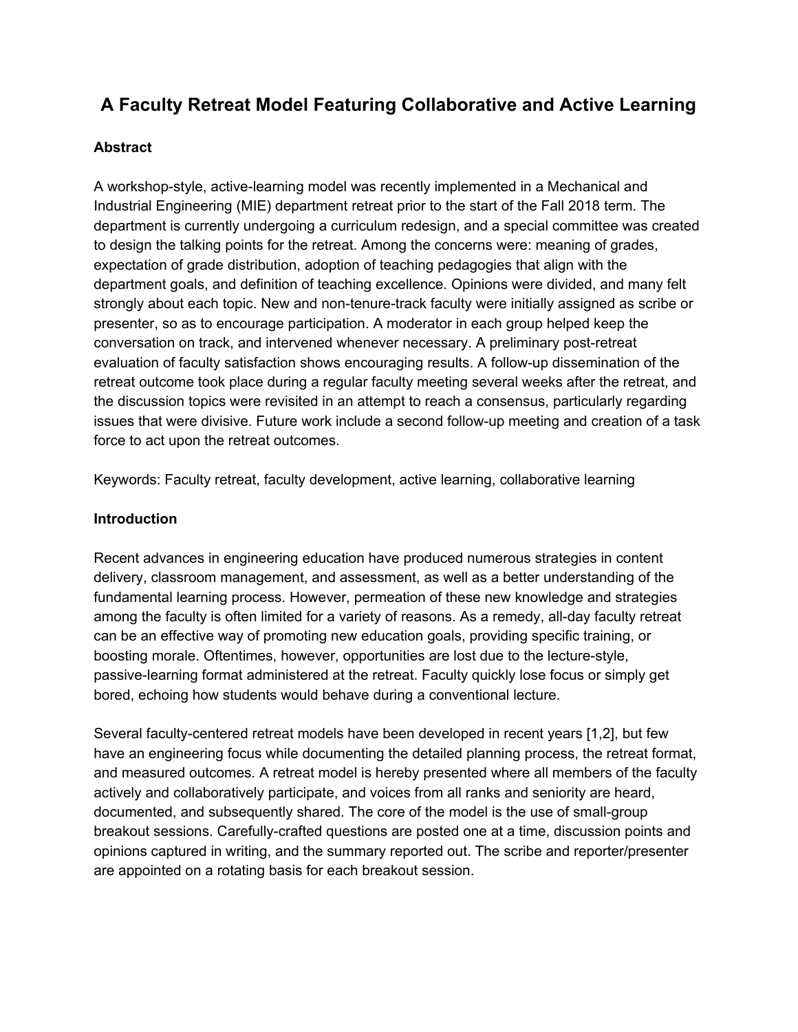## **A Faculty Retreat Model Featuring Collaborative and Active Learning**

#### **Abstract**

A workshop-style, active-learning model was recently implemented in a Mechanical and Industrial Engineering (MIE) department retreat prior to the start of the Fall 2018 term. The department is currently undergoing a curriculum redesign, and a special committee was created to design the talking points for the retreat. Among the concerns were: meaning of grades, expectation of grade distribution, adoption of teaching pedagogies that align with the department goals, and definition of teaching excellence. Opinions were divided, and many felt strongly about each topic. New and non-tenure-track faculty were initially assigned as scribe or presenter, so as to encourage participation. A moderator in each group helped keep the conversation on track, and intervened whenever necessary. A preliminary post-retreat evaluation of faculty satisfaction shows encouraging results. A follow-up dissemination of the retreat outcome took place during a regular faculty meeting several weeks after the retreat, and the discussion topics were revisited in an attempt to reach a consensus, particularly regarding issues that were divisive. Future work include a second follow-up meeting and creation of a task force to act upon the retreat outcomes.

Keywords: Faculty retreat, faculty development, active learning, collaborative learning

#### **Introduction**

Recent advances in engineering education have produced numerous strategies in content delivery, classroom management, and assessment, as well as a better understanding of the fundamental learning process. However, permeation of these new knowledge and strategies among the faculty is often limited for a variety of reasons. As a remedy, all-day faculty retreat can be an effective way of promoting new education goals, providing specific training, or boosting morale. Oftentimes, however, opportunities are lost due to the lecture-style, passive-learning format administered at the retreat. Faculty quickly lose focus or simply get bored, echoing how students would behave during a conventional lecture.

Several faculty-centered retreat models have been developed in recent years [1,2], but few have an engineering focus while documenting the detailed planning process, the retreat format, and measured outcomes. A retreat model is hereby presented where all members of the faculty actively and collaboratively participate, and voices from all ranks and seniority are heard, documented, and subsequently shared. The core of the model is the use of small-group breakout sessions. Carefully-crafted questions are posted one at a time, discussion points and opinions captured in writing, and the summary reported out. The scribe and reporter/presenter are appointed on a rotating basis for each breakout session.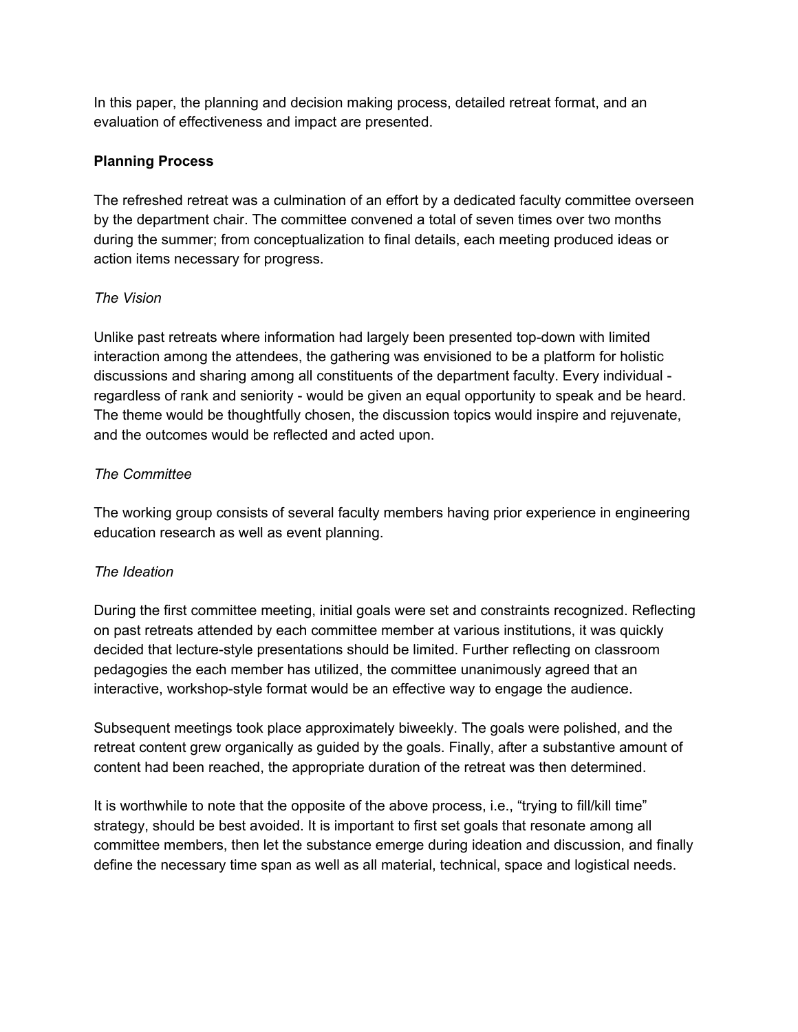In this paper, the planning and decision making process, detailed retreat format, and an evaluation of effectiveness and impact are presented.

#### **Planning Process**

The refreshed retreat was a culmination of an effort by a dedicated faculty committee overseen by the department chair. The committee convened a total of seven times over two months during the summer; from conceptualization to final details, each meeting produced ideas or action items necessary for progress.

#### *The Vision*

Unlike past retreats where information had largely been presented top-down with limited interaction among the attendees, the gathering was envisioned to be a platform for holistic discussions and sharing among all constituents of the department faculty. Every individual regardless of rank and seniority - would be given an equal opportunity to speak and be heard. The theme would be thoughtfully chosen, the discussion topics would inspire and rejuvenate, and the outcomes would be reflected and acted upon.

#### *The Committee*

The working group consists of several faculty members having prior experience in engineering education research as well as event planning.

#### *The Ideation*

During the first committee meeting, initial goals were set and constraints recognized. Reflecting on past retreats attended by each committee member at various institutions, it was quickly decided that lecture-style presentations should be limited. Further reflecting on classroom pedagogies the each member has utilized, the committee unanimously agreed that an interactive, workshop-style format would be an effective way to engage the audience.

Subsequent meetings took place approximately biweekly. The goals were polished, and the retreat content grew organically as guided by the goals. Finally, after a substantive amount of content had been reached, the appropriate duration of the retreat was then determined.

It is worthwhile to note that the opposite of the above process, i.e., "trying to fill/kill time" strategy, should be best avoided. It is important to first set goals that resonate among all committee members, then let the substance emerge during ideation and discussion, and finally define the necessary time span as well as all material, technical, space and logistical needs.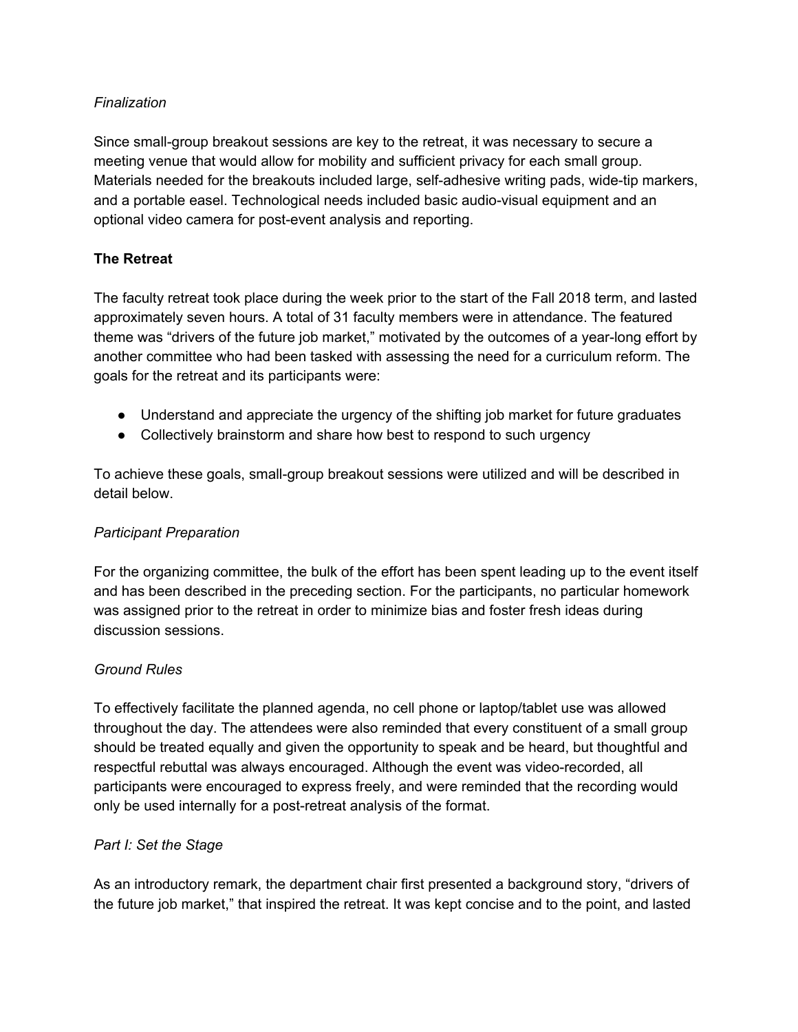#### *Finalization*

Since small-group breakout sessions are key to the retreat, it was necessary to secure a meeting venue that would allow for mobility and sufficient privacy for each small group. Materials needed for the breakouts included large, self-adhesive writing pads, wide-tip markers, and a portable easel. Technological needs included basic audio-visual equipment and an optional video camera for post-event analysis and reporting.

#### **The Retreat**

The faculty retreat took place during the week prior to the start of the Fall 2018 term, and lasted approximately seven hours. A total of 31 faculty members were in attendance. The featured theme was "drivers of the future job market," motivated by the outcomes of a year-long effort by another committee who had been tasked with assessing the need for a curriculum reform. The goals for the retreat and its participants were:

- Understand and appreciate the urgency of the shifting job market for future graduates
- Collectively brainstorm and share how best to respond to such urgency

To achieve these goals, small-group breakout sessions were utilized and will be described in detail below.

#### *Participant Preparation*

For the organizing committee, the bulk of the effort has been spent leading up to the event itself and has been described in the preceding section. For the participants, no particular homework was assigned prior to the retreat in order to minimize bias and foster fresh ideas during discussion sessions.

#### *Ground Rules*

To effectively facilitate the planned agenda, no cell phone or laptop/tablet use was allowed throughout the day. The attendees were also reminded that every constituent of a small group should be treated equally and given the opportunity to speak and be heard, but thoughtful and respectful rebuttal was always encouraged. Although the event was video-recorded, all participants were encouraged to express freely, and were reminded that the recording would only be used internally for a post-retreat analysis of the format.

#### *Part I: Set the Stage*

As an introductory remark, the department chair first presented a background story, "drivers of the future job market," that inspired the retreat. It was kept concise and to the point, and lasted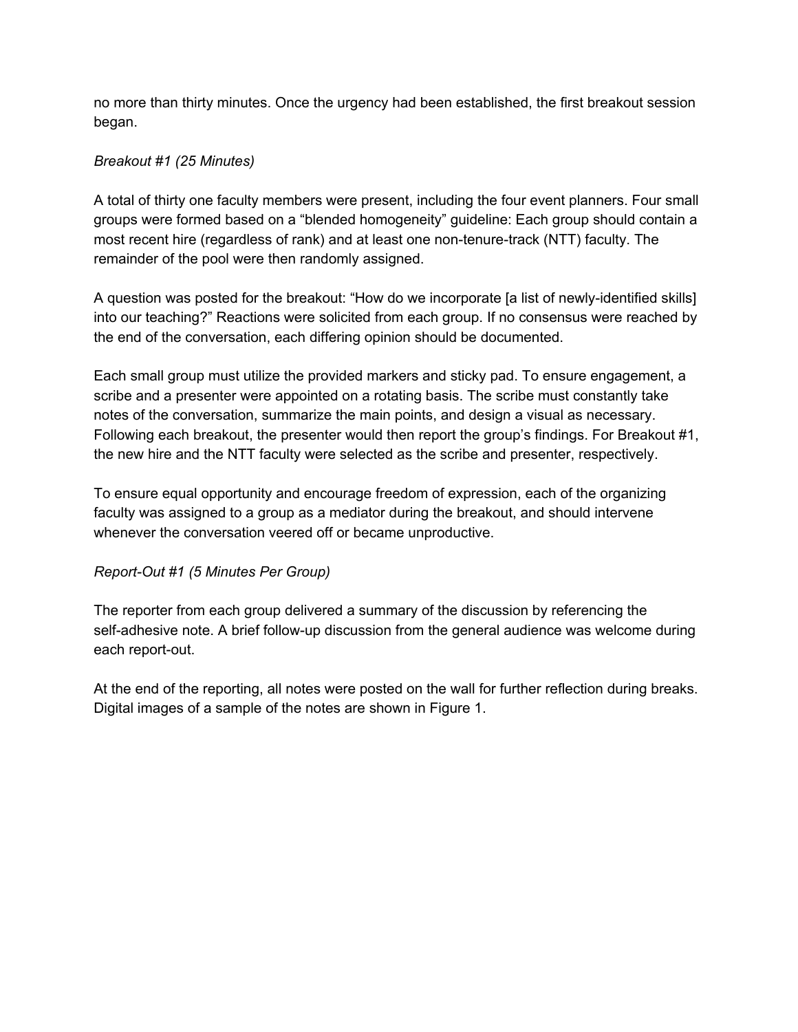no more than thirty minutes. Once the urgency had been established, the first breakout session began.

#### *Breakout #1 (25 Minutes)*

A total of thirty one faculty members were present, including the four event planners. Four small groups were formed based on a "blended homogeneity" guideline: Each group should contain a most recent hire (regardless of rank) and at least one non-tenure-track (NTT) faculty. The remainder of the pool were then randomly assigned.

A question was posted for the breakout: "How do we incorporate [a list of newly-identified skills] into our teaching?" Reactions were solicited from each group. If no consensus were reached by the end of the conversation, each differing opinion should be documented.

Each small group must utilize the provided markers and sticky pad. To ensure engagement, a scribe and a presenter were appointed on a rotating basis. The scribe must constantly take notes of the conversation, summarize the main points, and design a visual as necessary. Following each breakout, the presenter would then report the group's findings. For Breakout #1, the new hire and the NTT faculty were selected as the scribe and presenter, respectively.

To ensure equal opportunity and encourage freedom of expression, each of the organizing faculty was assigned to a group as a mediator during the breakout, and should intervene whenever the conversation veered off or became unproductive.

#### *Report-Out #1 (5 Minutes Per Group)*

The reporter from each group delivered a summary of the discussion by referencing the self-adhesive note. A brief follow-up discussion from the general audience was welcome during each report-out.

At the end of the reporting, all notes were posted on the wall for further reflection during breaks. Digital images of a sample of the notes are shown in Figure 1.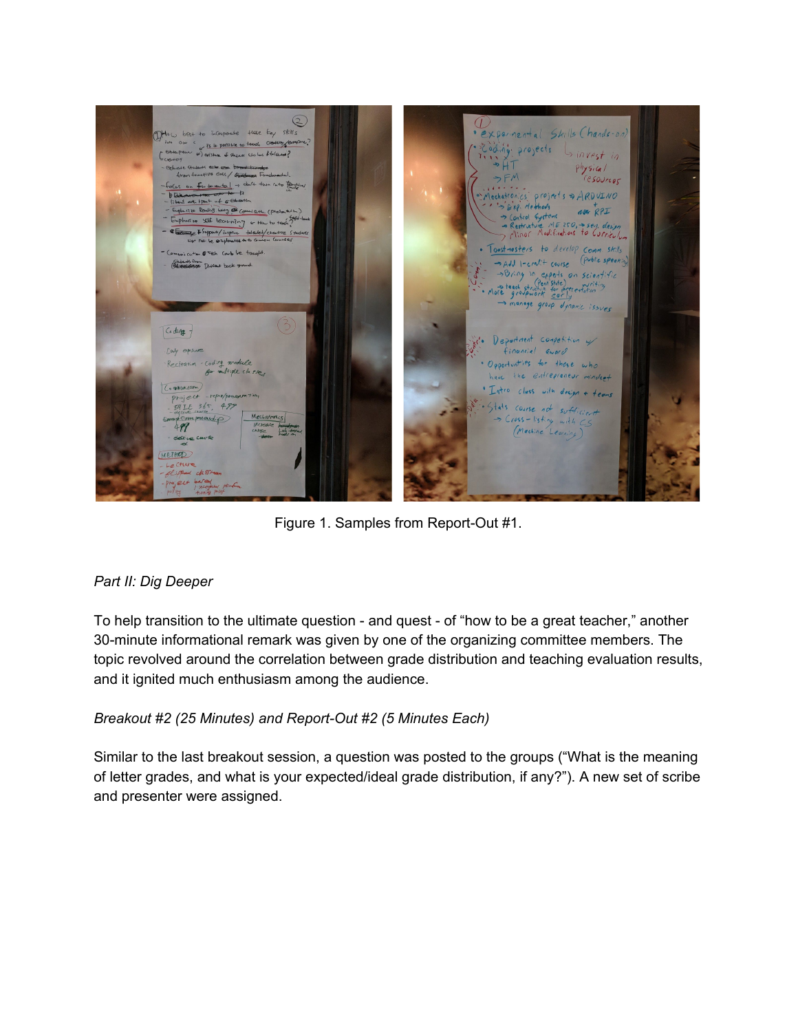

Figure 1. Samples from Report-Out #1.

#### *Part II: Dig Deeper*

To help transition to the ultimate question - and quest - of "how to be a great teacher," another 30-minute informational remark was given by one of the organizing committee members. The topic revolved around the correlation between grade distribution and teaching evaluation results, and it ignited much enthusiasm among the audience.

#### *Breakout #2 (25 Minutes) and Report-Out #2 (5 Minutes Each)*

Similar to the last breakout session, a question was posted to the groups ("What is the meaning of letter grades, and what is your expected/ideal grade distribution, if any?"). A new set of scribe and presenter were assigned.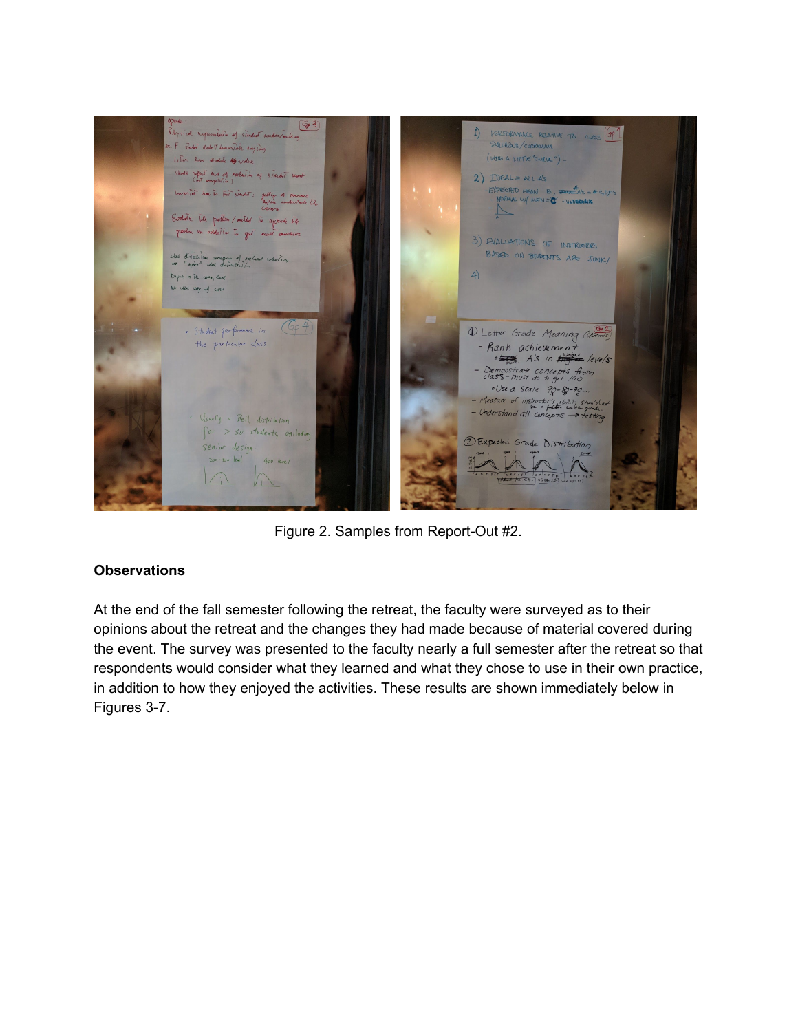

Figure 2. Samples from Report-Out #2.

#### **Observations**

At the end of the fall semester following the retreat, the faculty were surveyed as to their opinions about the retreat and the changes they had made because of material covered during the event. The survey was presented to the faculty nearly a full semester after the retreat so that respondents would consider what they learned and what they chose to use in their own practice, in addition to how they enjoyed the activities. These results are shown immediately below in Figures 3-7.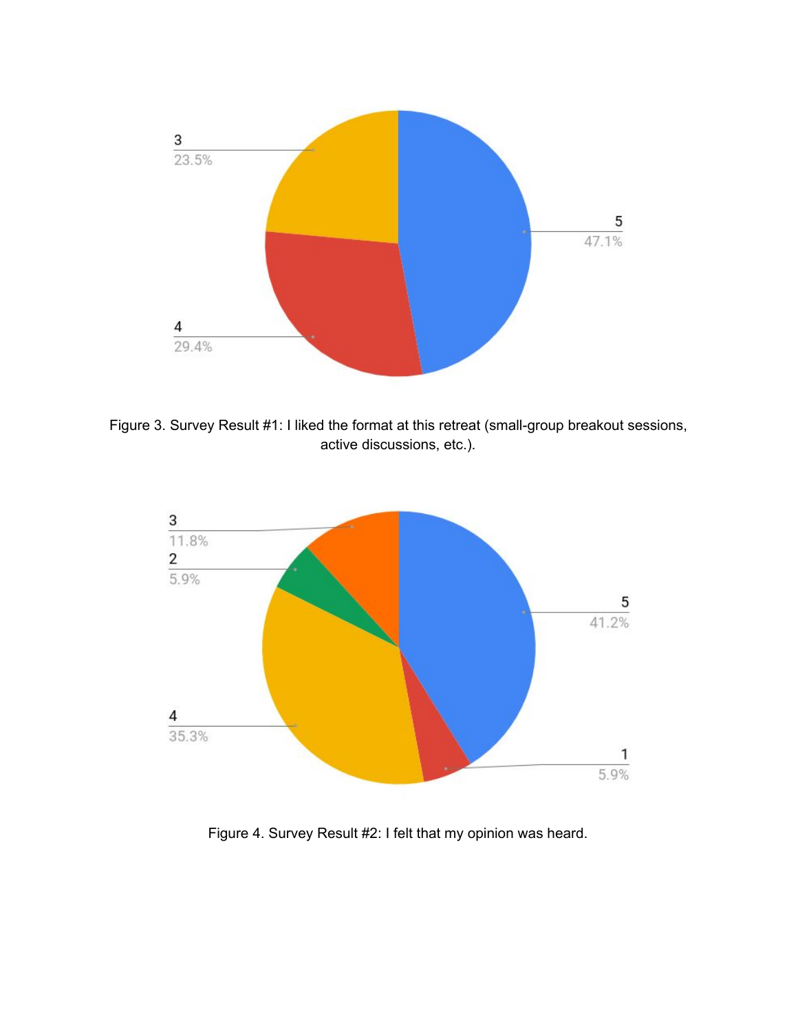

Figure 3. Survey Result #1: I liked the format at this retreat (small-group breakout sessions, active discussions, etc.).



Figure 4. Survey Result #2: I felt that my opinion was heard.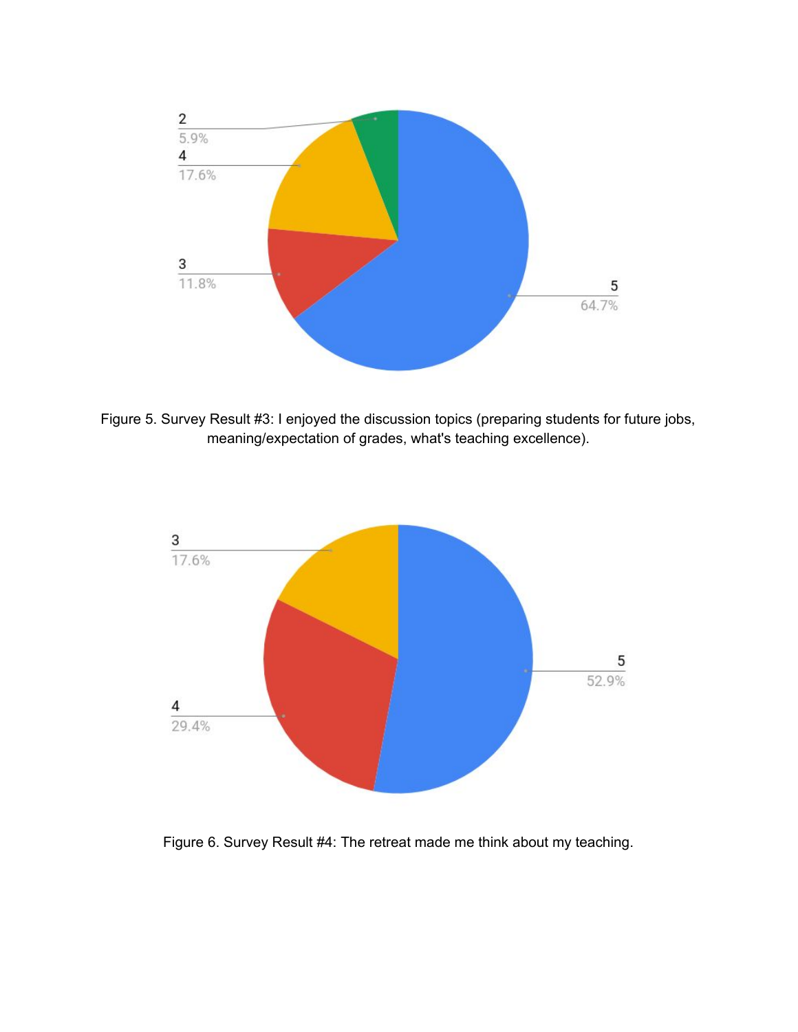

Figure 5. Survey Result #3: I enjoyed the discussion topics (preparing students for future jobs, meaning/expectation of grades, what's teaching excellence).



Figure 6. Survey Result #4: The retreat made me think about my teaching.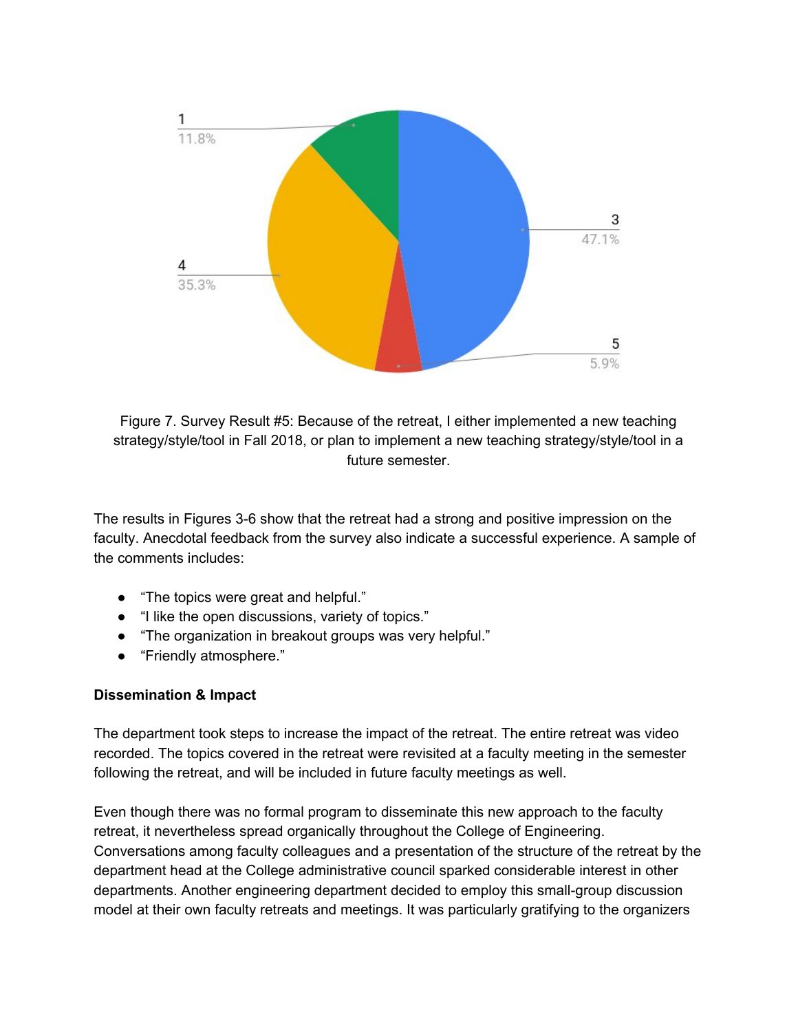

Figure 7. Survey Result #5: Because of the retreat, I either implemented a new teaching strategy/style/tool in Fall 2018, or plan to implement a new teaching strategy/style/tool in a future semester.

The results in Figures 3-6 show that the retreat had a strong and positive impression on the faculty. Anecdotal feedback from the survey also indicate a successful experience. A sample of the comments includes:

- "The topics were great and helpful."
- "I like the open discussions, variety of topics."
- "The organization in breakout groups was very helpful."
- "Friendly atmosphere."

#### **Dissemination & Impact**

The department took steps to increase the impact of the retreat. The entire retreat was video recorded. The topics covered in the retreat were revisited at a faculty meeting in the semester following the retreat, and will be included in future faculty meetings as well.

Even though there was no formal program to disseminate this new approach to the faculty retreat, it nevertheless spread organically throughout the College of Engineering. Conversations among faculty colleagues and a presentation of the structure of the retreat by the department head at the College administrative council sparked considerable interest in other departments. Another engineering department decided to employ this small-group discussion model at their own faculty retreats and meetings. It was particularly gratifying to the organizers